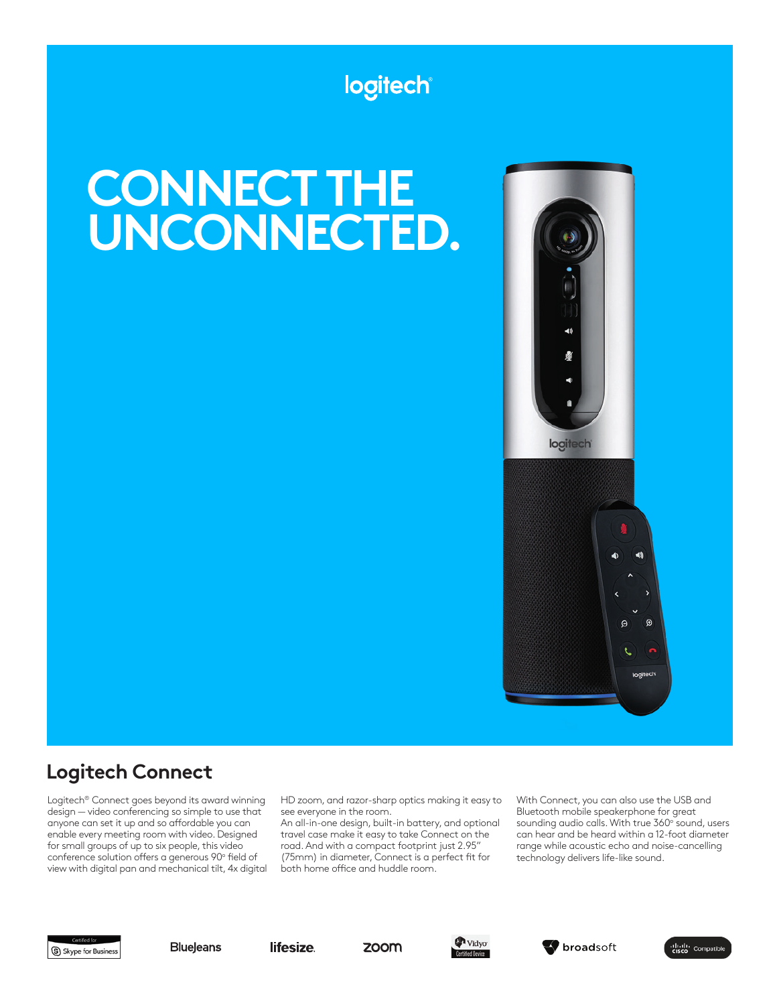## logitech

# **CONNECT THE UNCONNECTED.**



## **Logitech Connect**

Logitech® Connect goes beyond its award winning design — video conferencing so simple to use that anyone can set it up and so affordable you can enable every meeting room with video. Designed for small groups of up to six people, this video conference solution offers a generous 90° field of view with digital pan and mechanical tilt, 4x digital HD zoom, and razor-sharp optics making it easy to see everyone in the room.

An all-in-one design, built-in battery, and optional travel case make it easy to take Connect on the road. And with a compact footprint just 2.95" (75mm) in diameter, Connect is a perfect ft for both home office and huddle room.

With Connect, you can also use the USB and Bluetooth mobile speakerphone for great sounding audio calls. With true 360° sound, users can hear and be heard within a 12-foot diameter range while acoustic echo and noise-cancelling technology delivers life-like sound.





lifesize.





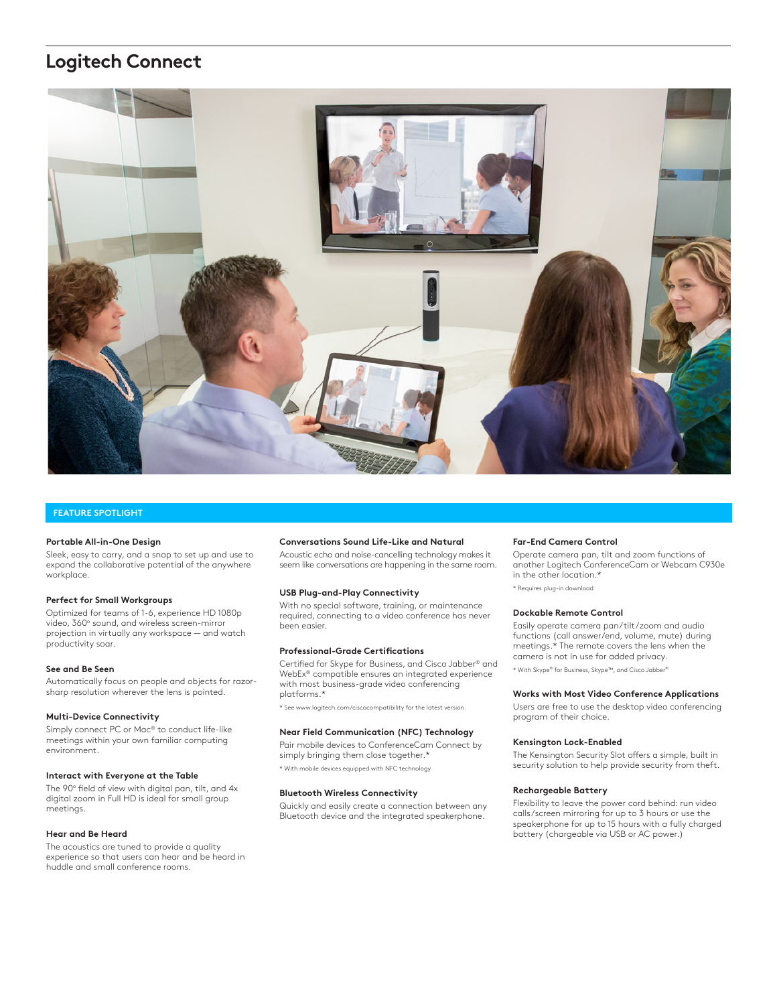## **Logitech Connect**



#### **FEATURE SPOTLIGHT**

#### **Portable All-in-One Design**

Sleek, easy to carry, and a snap to set up and use to expand the collaborative potential of the anywhere workplace.

#### **Perfect for Small Workgroups**

Optimized for teams of 1-6, experience HD 1080p video, 360° sound, and wireless screen-mirror projection in virtually any workspace — and watch productivity soar.

#### **See and Be Seen**

Automatically focus on people and objects for razorsharp resolution wherever the lens is pointed.

#### **Multi-Device Connectivity**

Simply connect PC or Mac® to conduct life-like meetings within your own familiar computing environment.

#### **Interact with Everyone at the Table**

The 90° field of view with digital pan, tilt, and 4x digital zoom in Full HD is ideal for small group meetings.

#### **Hear and Be Heard**

The acoustics are tuned to provide a quality experience so that users can hear and be heard in huddle and small conference rooms.

#### **Conversations Sound Life-Like and Natural**

Acoustic echo and noise-cancelling technology makes it seem like conversations are happening in the same room.

#### **USB Plug-and-Play Connectivity**

With no special software, training, or maintenance required, connecting to a video conference has never been easier.

#### **Professional-Grade Certifcations**

Certifed for Skype for Business, and Cisco Jabber® and WebEx® compatible ensures an integrated experience with most business-grade video conferencing platforms.\*

\* See www.logitech.com/ciscocompatibility for the latest version.

#### **Near Field Communication (NFC) Technology**

Pair mobile devices to ConferenceCam Connect by simply bringing them close together.\* \* With mobile devices equipped with NFC technology

#### **Bluetooth Wireless Connectivity**

Quickly and easily create a connection between any Bluetooth device and the integrated speakerphone.

#### **Far-End Camera Control**

Operate camera pan, tilt and zoom functions of another Logitech ConferenceCam or Webcam C930e in the other location.\*

\* Requires plug-in downloo

#### **Dockable Remote Control**

Easily operate camera pan/tilt/zoom and audio functions (call answer/end, volume, mute) during meetings.\* The remote covers the lens when the camera is not in use for added privacy. \* With Skype® for Business, Skype™, and Cisco Jabber®

#### **Works with Most Video Conference Applications**

Users are free to use the desktop video conferencing program of their choice.

#### **Kensington Lock-Enabled**

The Kensington Security Slot offers a simple, built in security solution to help provide security from theft.

#### **Rechargeable Battery**

Flexibility to leave the power cord behind: run video calls/screen mirroring for up to 3 hours or use the speakerphone for up to 15 hours with a fully charged battery (chargeable via USB or AC power.)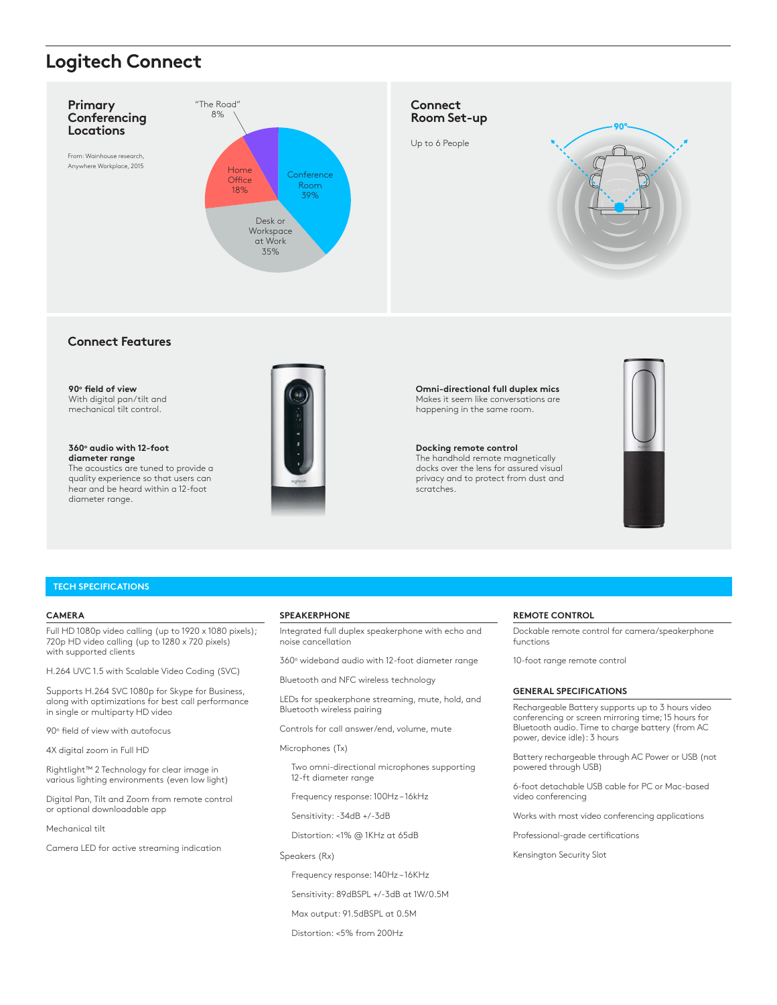## **Logitech Connect**



#### **Connect Features**

**90o feld of view** With digital pan/tilt and mechanical tilt control.

**360o audio with 12-foot diameter range** The acoustics are tuned to provide a quality experience so that users can hear and be heard within a 12-foot diameter range.



**Omni-directional full duplex mics** Makes it seem like conversations are happening in the same room.

#### **Docking remote control**

The handhold remote magnetically docks over the lens for assured visual privacy and to protect from dust and scratches.



#### **TECH SPECIFICATIONS**

#### **CAMERA**

Full HD 1080p video calling (up to 1920 x 1080 pixels); 720p HD video calling (up to 1280 x 720 pixels) with supported clients

H.264 UVC 1.5 with Scalable Video Coding (SVC)

Supports H.264 SVC 1080p for Skype for Business, along with optimizations for best call performance in single or multiparty HD video

90° field of view with autofocus

4X digital zoom in Full HD

Rightlight™ 2 Technology for clear image in various lighting environments (even low light)

Digital Pan, Tilt and Zoom from remote control or optional downloadable app

Mechanical tilt

Camera LED for active streaming indication

#### **SPEAKERPHONE**

Integrated full duplex speakerphone with echo and noise cancellation

360° wideband audio with 12-foot diameter range

Bluetooth and NFC wireless technology

LEDs for speakerphone streaming, mute, hold, and Bluetooth wireless pairing

Controls for call answer/end, volume, mute

Microphones (Tx)

 Two omni-directional microphones supporting 12-ft diameter range

Frequency response: 100Hz – 16kHz

Sensitivity: -34dB +/-3dB

Distortion: <1% @ 1KHz at 65dB

Speakers (Rx)

Frequency response: 140Hz – 16KHz

Sensitivity: 89dBSPL +/-3dB at 1W/0.5M

Max output: 91.5dBSPL at 0.5M

Distortion: <5% from 200Hz

#### **REMOTE CONTROL**

Dockable remote control for camera/speakerphone functions

10-foot range remote control

#### **GENERAL SPECIFICATIONS**

Rechargeable Battery supports up to 3 hours video conferencing or screen mirroring time; 15 hours for Bluetooth audio. Time to charge battery (from AC power, device idle): 3 hours

Battery rechargeable through AC Power or USB (not powered through USB)

6-foot detachable USB cable for PC or Mac-based video conferencing

Works with most video conferencing applications

Professional-grade certifications

Kensington Security Slot